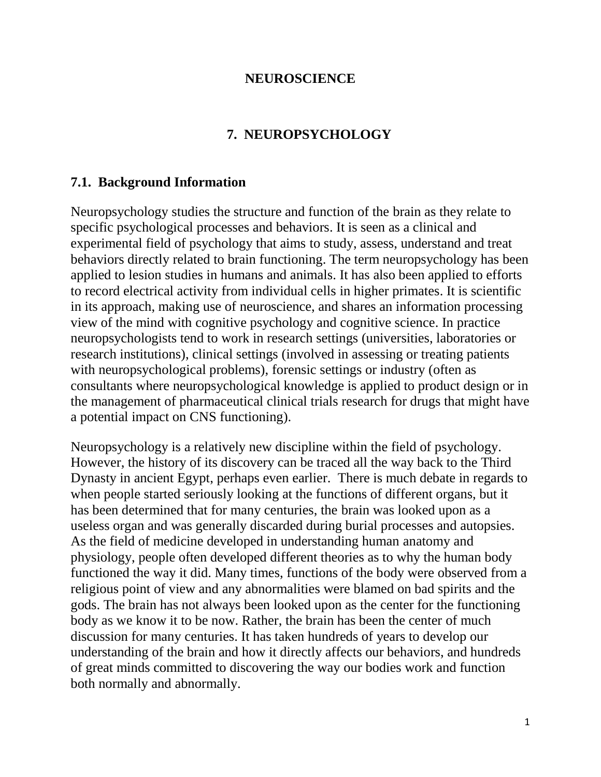## **NEUROSCIENCE**

# **7. NEUROPSYCHOLOGY**

## **7.1. Background Information**

Neuropsychology studies the structure and function of the [brain](http://en.wikipedia.org/wiki/Brain) as they relate to specific [psychological](http://en.wikipedia.org/wiki/Psychological) processes and [behaviors.](http://en.wikipedia.org/wiki/Behaviors) It is seen as a clinical and experimental field of psychology that aims to study, assess, understand and treat behaviors directly related to brain functioning. The term neuropsychology has been applied to [lesion studies](http://en.wikipedia.org/wiki/Lesion) in humans and animals. It has also been applied to efforts to record electrical activity from individual cells in higher primates. It is [scientific](http://en.wikipedia.org/wiki/Scientific_method) in its approach, making use of [neuroscience,](http://en.wikipedia.org/wiki/Neuroscience) and shares an [information processing](http://en.wikipedia.org/wiki/Information_processing) view of the mind with [cognitive psychology](http://en.wikipedia.org/wiki/Cognitive_psychology) and [cognitive science.](http://en.wikipedia.org/wiki/Cognitive_science) In practice neuropsychologists tend to work in research settings (universities, laboratories or research institutions), [clinical settings](http://en.wikipedia.org/wiki/Clinical_neuropsychology) (involved in assessing or treating patients with neuropsychological problems), [forensic](http://en.wikipedia.org/wiki/Forensic) settings or industry (often as consultants where neuropsychological knowledge is applied to product design or in the management of pharmaceutical clinical trials research for drugs that might have a potential impact on [CNS](http://en.wikipedia.org/wiki/Central_nervous_system) functioning).

Neuropsychology is a relatively new discipline within the field of [psychology.](http://en.wikipedia.org/wiki/Psychology) However, the history of its discovery can be traced all the way back to the Third Dynasty in ancient [Egypt,](http://en.wikipedia.org/wiki/Egypt) perhaps even earlier. There is much debate in regards to when people started seriously looking at the functions of different organs, but it has been determined that for many centuries, the [brain](http://en.wikipedia.org/wiki/Brain) was looked upon as a useless organ and was generally discarded during burial processes and autopsies. As the field of medicine developed in understanding human [anatomy](http://en.wikipedia.org/wiki/Anatomy) and [physiology,](http://en.wikipedia.org/wiki/Physiology) people often developed different theories as to why the human body functioned the way it did. Many times, functions of the body were observed from a religious point of view and any abnormalities were blamed on bad spirits and the gods. The brain has not always been looked upon as the center for the functioning body as we know it to be now. Rather, the brain has been the center of much discussion for many centuries. It has taken hundreds of years to develop our understanding of the brain and how it directly affects our behaviors, and hundreds of great minds committed to discovering the way our bodies work and function both normally and abnormally.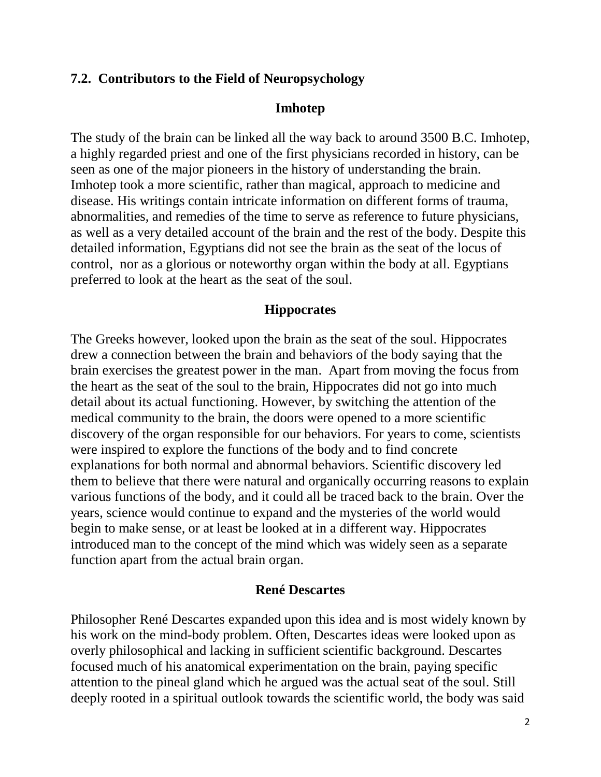## **7.2. Contributors to the Field of Neuropsychology**

#### **Imhotep**

The study of the brain can be linked all the way back to around 3500 B.C. [Imhotep,](http://en.wikipedia.org/wiki/Imhotep) a highly regarded priest and one of the first physicians recorded in history, can be seen as one of the major pioneers in the history of understanding the brain. Imhotep took a more scientific, rather than magical, approach to medicine and disease. His writings contain intricate information on different forms of trauma, abnormalities, and remedies of the time to serve as reference to future physicians, as well as a very detailed account of the brain and the rest of the body. Despite this detailed information, Egyptians did not see the brain as the seat of the [locus of](http://en.wikipedia.org/wiki/Locus_of_control)  [control,](http://en.wikipedia.org/wiki/Locus_of_control) nor as a glorious or noteworthy organ within the body at all. Egyptians preferred to look at the heart as the seat of the soul.

## **Hippocrates**

The [Greeks](http://en.wikipedia.org/wiki/Greeks) however, looked upon the brain as the seat of the soul. [Hippocrates](http://en.wikipedia.org/wiki/Hippocrates) drew a connection between the brain and behaviors of the body saying that the brain exercises the greatest power in the man. Apart from moving the focus from the heart as the seat of the soul to the brain, Hippocrates did not go into much detail about its actual functioning. However, by switching the attention of the medical community to the brain, the doors were opened to a more scientific discovery of the organ responsible for our behaviors. For years to come, scientists were inspired to explore the functions of the body and to find concrete explanations for both normal and abnormal behaviors. Scientific discovery led them to believe that there were natural and organically occurring reasons to explain various functions of the body, and it could all be traced back to the brain. Over the years, science would continue to expand and the mysteries of the world would begin to make sense, or at least be looked at in a different way. Hippocrates introduced man to the concept of the mind which was widely seen as a separate function apart from the actual brain organ.

## **René Descartes**

Philosopher [René Descartes](http://en.wikipedia.org/wiki/Ren%C3%A9_Descartes) expanded upon this idea and is most widely known by his work on the [mind-body problem.](http://en.wikipedia.org/wiki/Mind-body_problem) Often, Descartes ideas were looked upon as overly philosophical and lacking in sufficient scientific background. Descartes focused much of his anatomical experimentation on the brain, paying specific attention to the pineal gland which he argued was the actual seat of the soul. Still deeply rooted in a spiritual outlook towards the scientific world, the body was said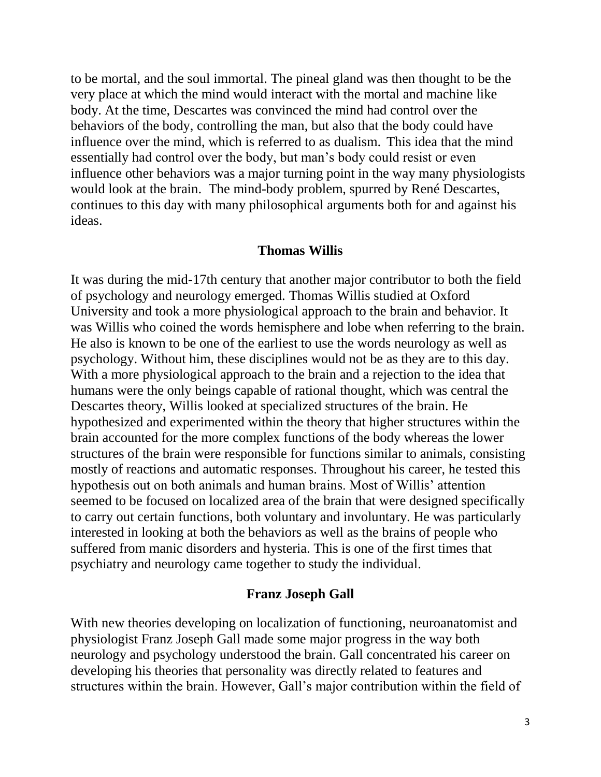to be mortal, and the soul immortal. The pineal gland was then thought to be the very place at which the mind would interact with the mortal and machine like body. At the time, Descartes was convinced the mind had control over the behaviors of the body, controlling the man, but also that the body could have influence over the mind, which is referred to as [dualism.](http://en.wikipedia.org/wiki/Dualism) This idea that the mind essentially had control over the body, but man's body could resist or even influence other behaviors was a major turning point in the way many physiologists would look at the brain. The mind-body problem, spurred by René Descartes, continues to this day with many philosophical arguments both for and against his ideas.

#### **Thomas Willis**

It was during the mid-17th century that another major contributor to both the field of psychology and neurology emerged. [Thomas Willis](http://en.wikipedia.org/wiki/Thomas_Willis) studied at Oxford University and took a more physiological approach to the brain and behavior. It was Willis who coined the words hemisphere and lobe when referring to the brain. He also is known to be one of the earliest to use the words neurology as well as psychology. Without him, these disciplines would not be as they are to this day. With a more physiological approach to the brain and a rejection to the idea that humans were the only beings capable of rational thought, which was central the Descartes theory, Willis looked at specialized structures of the brain. He hypothesized and experimented within the theory that higher structures within the brain accounted for the more complex functions of the body whereas the lower structures of the brain were responsible for functions similar to animals, consisting mostly of reactions and automatic responses. Throughout his career, he tested this hypothesis out on both animals and human brains. Most of Willis' attention seemed to be focused on localized area of the brain that were designed specifically to carry out certain functions, both voluntary and involuntary. He was particularly interested in looking at both the behaviors as well as the brains of people who suffered from manic disorders and hysteria. This is one of the first times that psychiatry and neurology came together to study the individual.

#### **Franz Joseph Gall**

With new theories developing on localization of functioning, neuroanatomist and physiologist [Franz Joseph Gall](http://en.wikipedia.org/wiki/Franz_Joseph_Gall) made some major progress in the way both neurology and psychology understood the brain. Gall concentrated his career on developing his theories that personality was directly related to features and structures within the brain. However, Gall's major contribution within the field of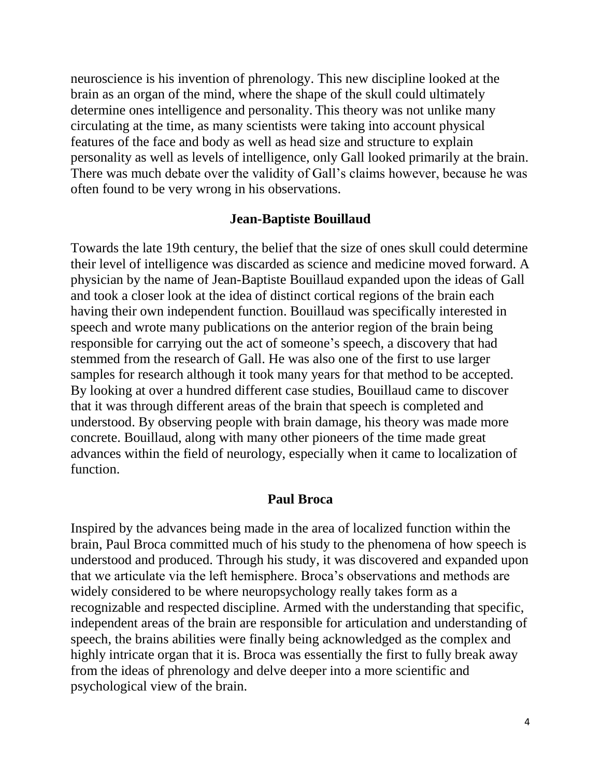neuroscience is his invention of [phrenology.](http://en.wikipedia.org/wiki/Phrenology) This new discipline looked at the brain as an organ of the mind, where the shape of the skull could ultimately determine ones intelligence and personality. This theory was not unlike many circulating at the time, as many scientists were taking into account physical features of the face and body as well as head size and structure to explain personality as well as levels of intelligence, only Gall looked primarily at the brain. There was much debate over the validity of Gall's claims however, because he was often found to be very wrong in his observations.

#### **Jean-Baptiste Bouillaud**

Towards the late 19th century, the belief that the size of ones skull could determine their level of intelligence was discarded as science and medicine moved forward. A physician by the name of [Jean-Baptiste Bouillaud](http://en.wikipedia.org/wiki/Jean-Baptiste_Bouillaud) expanded upon the ideas of Gall and took a closer look at the idea of distinct cortical regions of the brain each having their own independent function. Bouillaud was specifically interested in speech and wrote many publications on the anterior region of the brain being responsible for carrying out the act of someone's speech, a discovery that had stemmed from the research of Gall. He was also one of the first to use larger samples for research although it took many years for that method to be accepted. By looking at over a hundred different case studies, Bouillaud came to discover that it was through different areas of the brain that speech is completed and understood. By observing people with brain damage, his theory was made more concrete. Bouillaud, along with many other pioneers of the time made great advances within the field of neurology, especially when it came to localization of function.

### **Paul Broca**

Inspired by the advances being made in the area of localized function within the brain, [Paul Broca](http://en.wikipedia.org/wiki/Paul_Broca) committed much of his study to the phenomena of how speech is understood and produced. Through his study, it was discovered and expanded upon that we articulate via the left hemisphere. Broca's observations and methods are widely considered to be where neuropsychology really takes form as a recognizable and respected discipline. Armed with the understanding that specific, independent areas of the brain are responsible for articulation and understanding of speech, the brains abilities were finally being acknowledged as the complex and highly intricate organ that it is. Broca was essentially the first to fully break away from the ideas of phrenology and delve deeper into a more scientific and psychological view of the brain.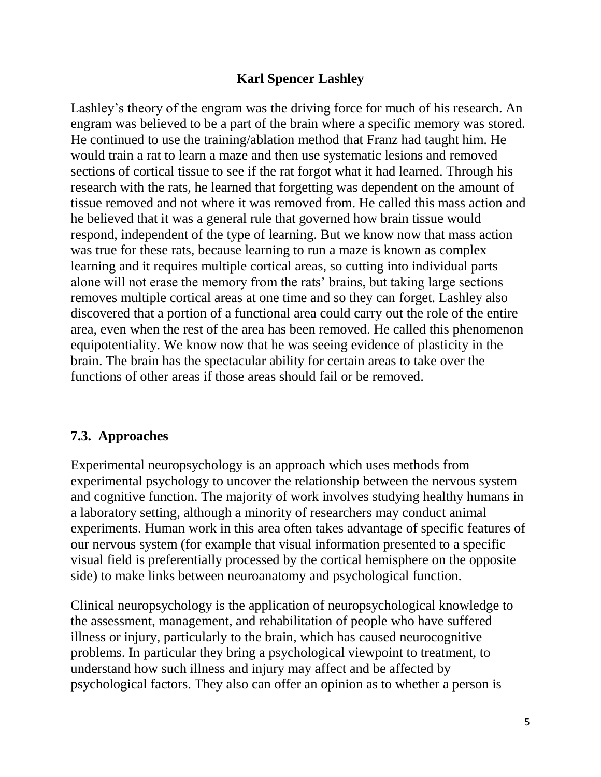## **Karl Spencer Lashley**

Lashley's theory of the engram was the driving force for much of his research. An engram was believed to be a part of the brain where a specific memory was stored. He continued to use the training/ablation method that Franz had taught him. He would train a rat to learn a maze and then use systematic lesions and removed sections of cortical tissue to see if the rat forgot what it had learned. Through his research with the rats, he learned that forgetting was dependent on the amount of tissue removed and not where it was removed from. He called this mass action and he believed that it was a general rule that governed how brain tissue would respond, independent of the type of learning. But we know now that mass action was true for these rats, because learning to run a maze is known as complex learning and it requires multiple cortical areas, so cutting into individual parts alone will not erase the memory from the rats' brains, but taking large sections removes multiple cortical areas at one time and so they can forget. Lashley also discovered that a portion of a functional area could carry out the role of the entire area, even when the rest of the area has been removed. He called this phenomenon equipotentiality. We know now that he was seeing evidence of plasticity in the brain. The brain has the spectacular ability for certain areas to take over the functions of other areas if those areas should fail or be removed.

# **7.3. Approaches**

Experimental neuropsychology is an approach which uses methods from [experimental psychology](http://en.wikipedia.org/wiki/Experimental_psychology) to uncover the relationship between the nervous system and cognitive function. The majority of work involves studying healthy humans in a laboratory setting, although a minority of researchers may conduct animal experiments. Human work in this area often takes advantage of specific features of our nervous system (for example that visual information presented to a specific [visual field](http://en.wikipedia.org/wiki/Visual_field) is preferentially processed by the [cortical](http://en.wikipedia.org/wiki/Cerebral_cortex) hemisphere on the opposite side) to make links between [neuroanatomy](http://en.wikipedia.org/wiki/Neuroanatomy) and psychological function.

[Clinical neuropsychology](http://en.wikipedia.org/wiki/Clinical_neuropsychology) is the application of neuropsychological knowledge to the assessment, management, and [rehabilitation](http://en.wikipedia.org/wiki/Rehabilitation_(neuropsychology)) of people who have suffered illness or injury, particularly to the brain, which has caused [neurocognitive](http://en.wikipedia.org/wiki/Neurocognitive) problems. In particular they bring a psychological viewpoint to treatment, to understand how such illness and injury may affect and be affected by psychological factors. They also can offer an opinion as to whether a person is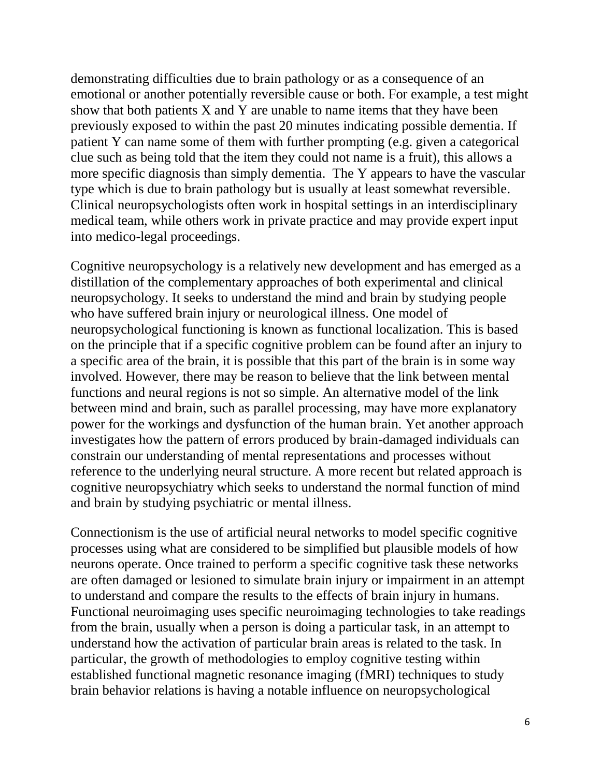demonstrating difficulties due to brain pathology or as a consequence of an emotional or another potentially reversible cause or both. For example, a test might show that both patients X and Y are unable to name items that they have been previously exposed to within the past 20 minutes indicating possible dementia. If patient Y can name some of them with further prompting (e.g. given a categorical clue such as being told that the item they could not name is a fruit), this allows a more specific diagnosis than simply dementia. The Y appears to have the vascular type which is due to brain pathology but is usually at least somewhat reversible. Clinical neuropsychologists often work in hospital settings in an interdisciplinary medical team, while others work in private practice and may provide expert input into medico-legal proceedings.

[Cognitive neuropsychology](http://en.wikipedia.org/wiki/Cognitive_neuropsychology) is a relatively new development and has emerged as a distillation of the complementary approaches of both experimental and clinical neuropsychology. It seeks to understand the mind and brain by studying people who have suffered brain injury or neurological illness. One model of neuropsychological functioning is known as functional localization. This is based on the principle that if a specific cognitive problem can be found after an injury to a specific area of the brain, it is possible that this part of the brain is in some way involved. However, there may be reason to believe that the link between mental functions and neural regions is not so simple. An alternative model of the link between mind and brain, such as [parallel processing,](http://en.wikipedia.org/wiki/Parallel_processing) may have more explanatory power for the workings and dysfunction of the human brain. Yet another approach investigates how the pattern of errors produced by brain-damaged individuals can constrain our understanding of mental representations and processes without reference to the underlying neural structure. A more recent but related approach is [cognitive neuropsychiatry](http://en.wikipedia.org/wiki/Cognitive_neuropsychiatry) which seeks to understand the normal function of mind and brain by studying psychiatric or [mental illness.](http://en.wikipedia.org/wiki/Mental_illness)

[Connectionism](http://en.wikipedia.org/wiki/Connectionism) is the use of [artificial neural networks](http://en.wikipedia.org/wiki/Artificial_neural_network) to model specific cognitive processes using what are considered to be simplified but plausible models of how neurons operate. Once trained to perform a specific cognitive task these networks are often damaged or lesioned to simulate brain injury or impairment in an attempt to understand and compare the results to the effects of brain injury in humans. [Functional neuroimaging](http://en.wikipedia.org/wiki/Functional_neuroimaging) uses specific [neuroimaging](http://en.wikipedia.org/wiki/Neuroimaging) technologies to take readings from the brain, usually when a person is doing a particular task, in an attempt to understand how the activation of particular brain areas is related to the task. In particular, the growth of methodologies to employ cognitive testing within established [functional magnetic resonance imaging](http://en.wikipedia.org/wiki/Functional_magnetic_resonance_imaging) [\(fMRI\)](http://en.wikipedia.org/wiki/FMRI) techniques to study brain behavior relations is having a notable influence on neuropsychological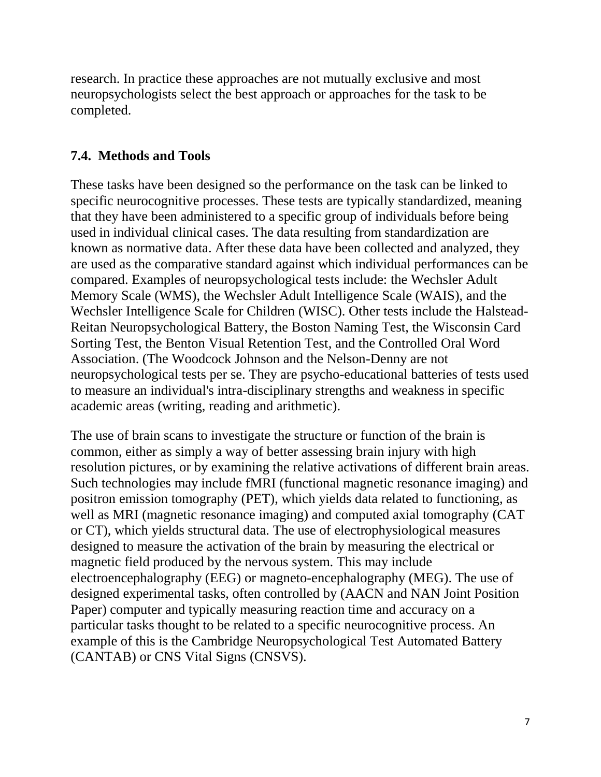research. In practice these approaches are not mutually exclusive and most neuropsychologists select the best approach or approaches for the task to be completed.

# **7.4. Methods and Tools**

These tasks have been designed so the performance on the task can be linked to specific [neurocognitive](http://en.wikipedia.org/wiki/Neurocognitive) processes. These tests are typically [standardized,](http://en.wikipedia.org/wiki/Standardized) meaning that they have been administered to a specific group of individuals before being used in individual clinical cases. The data resulting from standardization are known as normative data. After these data have been collected and analyzed, they are used as the comparative standard against which individual performances can be compared. Examples of neuropsychological tests include: the Wechsler Adult Memory Scale (WMS), the [Wechsler Adult Intelligence Scale](http://en.wikipedia.org/wiki/Wechsler_Adult_Intelligence_Scale) (WAIS), and the [Wechsler Intelligence Scale for Children](http://en.wikipedia.org/wiki/Wechsler_Intelligence_Scale_for_Children) (WISC). Other tests include the [Halstead-](http://en.wikipedia.org/wiki/Halstead-Reitan_Neuropsychological_Battery)[Reitan Neuropsychological Battery,](http://en.wikipedia.org/wiki/Halstead-Reitan_Neuropsychological_Battery) the Boston Naming Test, the [Wisconsin Card](http://en.wikipedia.org/wiki/Wisconsin_Card_Sorting_Test)  [Sorting Test,](http://en.wikipedia.org/wiki/Wisconsin_Card_Sorting_Test) the [Benton Visual Retention Test,](http://en.wikipedia.org/wiki/Benton_Visual_Retention_Test) and the Controlled Oral Word Association. (The Woodcock Johnson and the Nelson-Denny are not neuropsychological tests per se. They are psycho-educational batteries of tests used to measure an individual's intra-disciplinary strengths and weakness in specific academic areas (writing, reading and arithmetic).

The use of brain scans to investigate the structure or function of the brain is common, either as simply a way of better assessing brain injury with high resolution pictures, or by examining the relative activations of different brain areas. Such technologies may include [fMRI](http://en.wikipedia.org/wiki/FMRI) (functional magnetic resonance imaging) and [positron emission tomography](http://en.wikipedia.org/wiki/Positron_emission_tomography) (PET), which yields data related to functioning, as well as [MRI](http://en.wikipedia.org/wiki/MRI) (magnetic resonance imaging) and [computed axial tomography](http://en.wikipedia.org/wiki/Computed_axial_tomography) (CAT or CT), which yields structural data. The use of [electrophysiological](http://en.wikipedia.org/wiki/Electrophysiology) measures designed to measure the activation of the brain by measuring the electrical or magnetic field produced by the nervous system. This may include [electroencephalography](http://en.wikipedia.org/wiki/Electroencephalography) (EEG) or [magneto-encephalography](http://en.wikipedia.org/wiki/Magneto-encephalography) (MEG). The use of designed experimental tasks, often controlled by [\(AACN and NAN Joint Position](https://www.nanonline.org/docs/ResearchandPublications/PositionPapers/Computerized%20Neuropsychological%20Assessment%20Devices%20-%20Joint%20Position%20Paper%20of%20the%20American%20Academy%20of%20Clinical%20Neuropsychology%20and%20the%20National%20Academ.pdf)  [Paper\)](https://www.nanonline.org/docs/ResearchandPublications/PositionPapers/Computerized%20Neuropsychological%20Assessment%20Devices%20-%20Joint%20Position%20Paper%20of%20the%20American%20Academy%20of%20Clinical%20Neuropsychology%20and%20the%20National%20Academ.pdf) computer and typically measuring reaction time and accuracy on a particular tasks thought to be related to a specific [neurocognitive](http://en.wikipedia.org/wiki/Neurocognitive) process. An example of this is the [Cambridge Neuropsychological Test Automated Battery](http://en.wikipedia.org/wiki/Cambridge_Neuropsychological_Test_Automated_Battery) (CANTAB) or [CNS Vital Signs](http://en.wikipedia.org/wiki/CNS_Vital_Signs_Computerized_Neurocognitive_Test) (CNSVS).